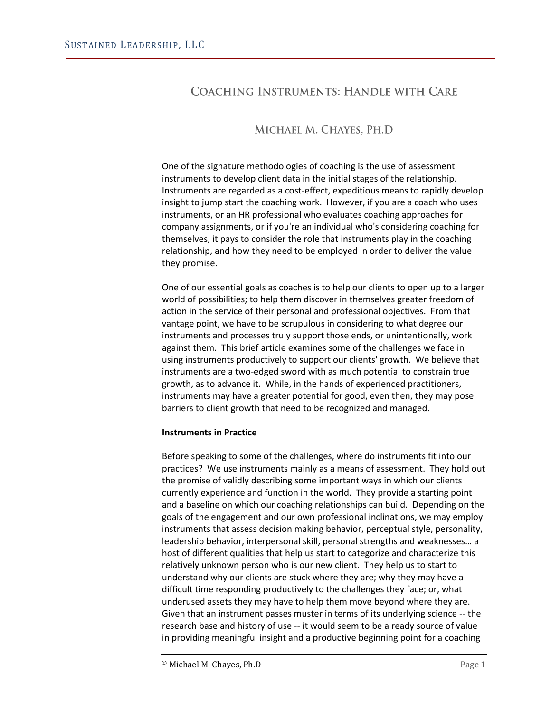# **COACHING INSTRUMENTS: HANDLE WITH CARE**

# MICHAEL M. CHAYES, PH.D

One of the signature methodologies of coaching is the use of assessment instruments to develop client data in the initial stages of the relationship. Instruments are regarded as a cost-effect, expeditious means to rapidly develop insight to jump start the coaching work. However, if you are a coach who uses instruments, or an HR professional who evaluates coaching approaches for company assignments, or if you're an individual who's considering coaching for themselves, it pays to consider the role that instruments play in the coaching relationship, and how they need to be employed in order to deliver the value they promise.

One of our essential goals as coaches is to help our clients to open up to a larger world of possibilities; to help them discover in themselves greater freedom of action in the service of their personal and professional objectives. From that vantage point, we have to be scrupulous in considering to what degree our instruments and processes truly support those ends, or unintentionally, work against them. This brief article examines some of the challenges we face in using instruments productively to support our clients' growth. We believe that instruments are a two-edged sword with as much potential to constrain true growth, as to advance it. While, in the hands of experienced practitioners, instruments may have a greater potential for good, even then, they may pose barriers to client growth that need to be recognized and managed.

#### **Instruments in Practice**

Before speaking to some of the challenges, where do instruments fit into our practices? We use instruments mainly as a means of assessment. They hold out the promise of validly describing some important ways in which our clients currently experience and function in the world. They provide a starting point and a baseline on which our coaching relationships can build. Depending on the goals of the engagement and our own professional inclinations, we may employ instruments that assess decision making behavior, perceptual style, personality, leadership behavior, interpersonal skill, personal strengths and weaknesses… a host of different qualities that help us start to categorize and characterize this relatively unknown person who is our new client. They help us to start to understand why our clients are stuck where they are; why they may have a difficult time responding productively to the challenges they face; or, what underused assets they may have to help them move beyond where they are. Given that an instrument passes muster in terms of its underlying science -- the research base and history of use -- it would seem to be a ready source of value in providing meaningful insight and a productive beginning point for a coaching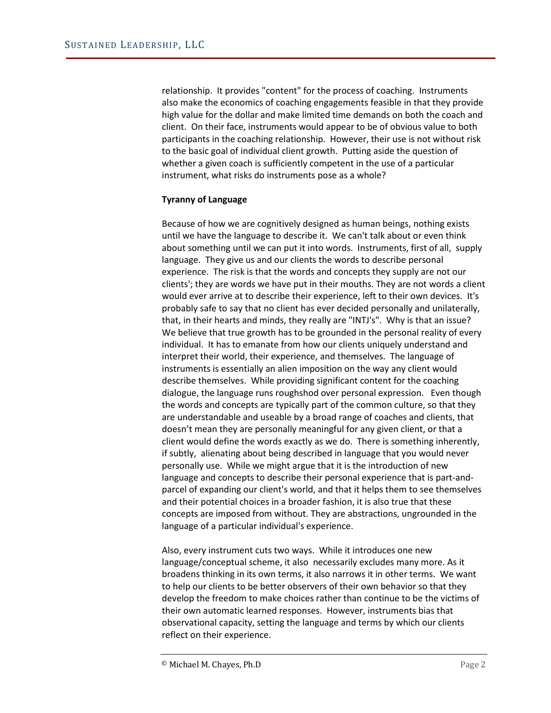relationship. It provides "content" for the process of coaching. Instruments also make the economics of coaching engagements feasible in that they provide high value for the dollar and make limited time demands on both the coach and client. On their face, instruments would appear to be of obvious value to both participants in the coaching relationship. However, their use is not without risk to the basic goal of individual client growth. Putting aside the question of whether a given coach is sufficiently competent in the use of a particular instrument, what risks do instruments pose as a whole?

## **Tyranny of Language**

Because of how we are cognitively designed as human beings, nothing exists until we have the language to describe it. We can't talk about or even think about something until we can put it into words. Instruments, first of all, supply language. They give us and our clients the words to describe personal experience. The risk is that the words and concepts they supply are not our clients'; they are words we have put in their mouths. They are not words a client would ever arrive at to describe their experience, left to their own devices. It's probably safe to say that no client has ever decided personally and unilaterally, that, in their hearts and minds, they really are "INTJ's". Why is that an issue? We believe that true growth has to be grounded in the personal reality of every individual. It has to emanate from how our clients uniquely understand and interpret their world, their experience, and themselves. The language of instruments is essentially an alien imposition on the way any client would describe themselves. While providing significant content for the coaching dialogue, the language runs roughshod over personal expression. Even though the words and concepts are typically part of the common culture, so that they are understandable and useable by a broad range of coaches and clients, that doesn't mean they are personally meaningful for any given client, or that a client would define the words exactly as we do. There is something inherently, if subtly, alienating about being described in language that you would never personally use. While we might argue that it is the introduction of new language and concepts to describe their personal experience that is part-andparcel of expanding our client's world, and that it helps them to see themselves and their potential choices in a broader fashion, it is also true that these concepts are imposed from without. They are abstractions, ungrounded in the language of a particular individual's experience.

Also, every instrument cuts two ways. While it introduces one new language/conceptual scheme, it also necessarily excludes many more. As it broadens thinking in its own terms, it also narrows it in other terms. We want to help our clients to be better observers of their own behavior so that they develop the freedom to make choices rather than continue to be the victims of their own automatic learned responses. However, instruments bias that observational capacity, setting the language and terms by which our clients reflect on their experience.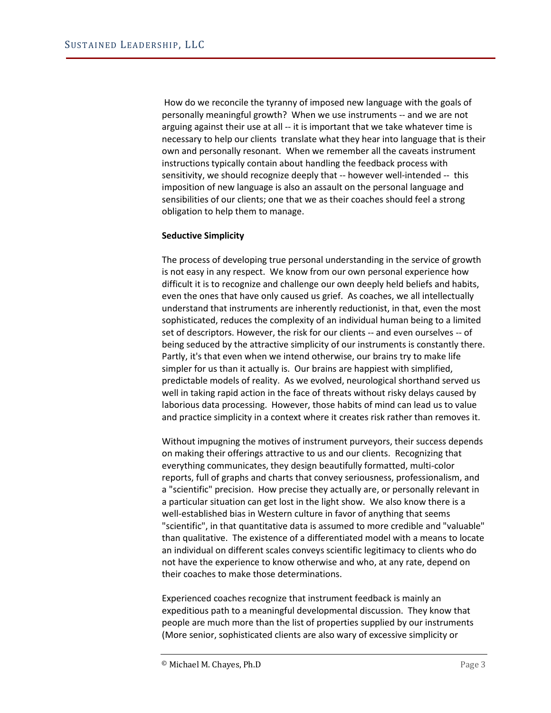How do we reconcile the tyranny of imposed new language with the goals of personally meaningful growth? When we use instruments -- and we are not arguing against their use at all -- it is important that we take whatever time is necessary to help our clients translate what they hear into language that is their own and personally resonant. When we remember all the caveats instrument instructions typically contain about handling the feedback process with sensitivity, we should recognize deeply that -- however well-intended -- this imposition of new language is also an assault on the personal language and sensibilities of our clients; one that we as their coaches should feel a strong obligation to help them to manage.

## **Seductive Simplicity**

The process of developing true personal understanding in the service of growth is not easy in any respect. We know from our own personal experience how difficult it is to recognize and challenge our own deeply held beliefs and habits, even the ones that have only caused us grief. As coaches, we all intellectually understand that instruments are inherently reductionist, in that, even the most sophisticated, reduces the complexity of an individual human being to a limited set of descriptors. However, the risk for our clients -- and even ourselves -- of being seduced by the attractive simplicity of our instruments is constantly there. Partly, it's that even when we intend otherwise, our brains try to make life simpler for us than it actually is. Our brains are happiest with simplified, predictable models of reality. As we evolved, neurological shorthand served us well in taking rapid action in the face of threats without risky delays caused by laborious data processing. However, those habits of mind can lead us to value and practice simplicity in a context where it creates risk rather than removes it.

Without impugning the motives of instrument purveyors, their success depends on making their offerings attractive to us and our clients. Recognizing that everything communicates, they design beautifully formatted, multi-color reports, full of graphs and charts that convey seriousness, professionalism, and a "scientific" precision. How precise they actually are, or personally relevant in a particular situation can get lost in the light show. We also know there is a well-established bias in Western culture in favor of anything that seems "scientific", in that quantitative data is assumed to more credible and "valuable" than qualitative. The existence of a differentiated model with a means to locate an individual on different scales conveys scientific legitimacy to clients who do not have the experience to know otherwise and who, at any rate, depend on their coaches to make those determinations.

Experienced coaches recognize that instrument feedback is mainly an expeditious path to a meaningful developmental discussion. They know that people are much more than the list of properties supplied by our instruments (More senior, sophisticated clients are also wary of excessive simplicity or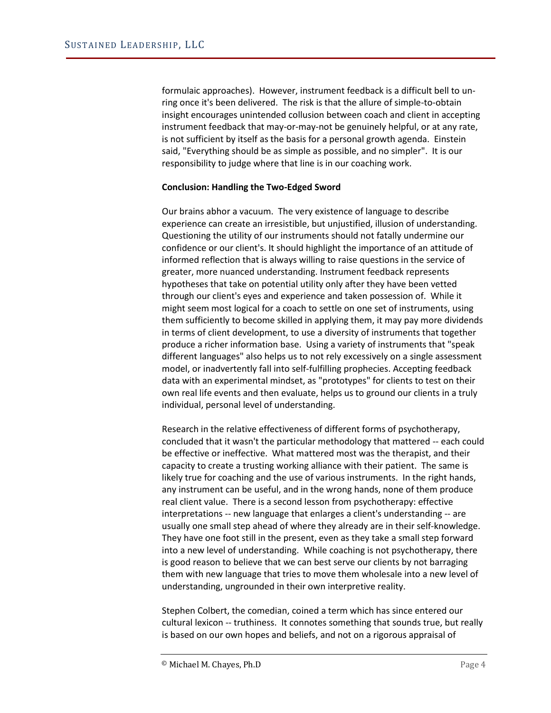formulaic approaches). However, instrument feedback is a difficult bell to unring once it's been delivered. The risk is that the allure of simple-to-obtain insight encourages unintended collusion between coach and client in accepting instrument feedback that may-or-may-not be genuinely helpful, or at any rate, is not sufficient by itself as the basis for a personal growth agenda. Einstein said, "Everything should be as simple as possible, and no simpler". It is our responsibility to judge where that line is in our coaching work.

#### **Conclusion: Handling the Two-Edged Sword**

Our brains abhor a vacuum. The very existence of language to describe experience can create an irresistible, but unjustified, illusion of understanding. Questioning the utility of our instruments should not fatally undermine our confidence or our client's. It should highlight the importance of an attitude of informed reflection that is always willing to raise questions in the service of greater, more nuanced understanding. Instrument feedback represents hypotheses that take on potential utility only after they have been vetted through our client's eyes and experience and taken possession of. While it might seem most logical for a coach to settle on one set of instruments, using them sufficiently to become skilled in applying them, it may pay more dividends in terms of client development, to use a diversity of instruments that together produce a richer information base. Using a variety of instruments that "speak different languages" also helps us to not rely excessively on a single assessment model, or inadvertently fall into self-fulfilling prophecies. Accepting feedback data with an experimental mindset, as "prototypes" for clients to test on their own real life events and then evaluate, helps us to ground our clients in a truly individual, personal level of understanding.

Research in the relative effectiveness of different forms of psychotherapy, concluded that it wasn't the particular methodology that mattered -- each could be effective or ineffective. What mattered most was the therapist, and their capacity to create a trusting working alliance with their patient. The same is likely true for coaching and the use of various instruments. In the right hands, any instrument can be useful, and in the wrong hands, none of them produce real client value. There is a second lesson from psychotherapy: effective interpretations -- new language that enlarges a client's understanding -- are usually one small step ahead of where they already are in their self-knowledge. They have one foot still in the present, even as they take a small step forward into a new level of understanding. While coaching is not psychotherapy, there is good reason to believe that we can best serve our clients by not barraging them with new language that tries to move them wholesale into a new level of understanding, ungrounded in their own interpretive reality.

Stephen Colbert, the comedian, coined a term which has since entered our cultural lexicon -- truthiness. It connotes something that sounds true, but really is based on our own hopes and beliefs, and not on a rigorous appraisal of